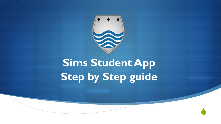

## **Sims Student App Step by Step guide**

 $\blacklozenge$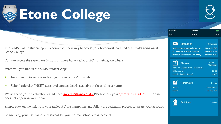

## **Etone College**



|                                                                                                                                 | Carrier $\epsilon$  | 3:16 PM                                                                                                                           | $\blacksquare$                                             |
|---------------------------------------------------------------------------------------------------------------------------------|---------------------|-----------------------------------------------------------------------------------------------------------------------------------|------------------------------------------------------------|
|                                                                                                                                 | Back                | Home                                                                                                                              | Menu                                                       |
|                                                                                                                                 |                     |                                                                                                                                   |                                                            |
| ent new way to access your homework and find out what's going on at                                                             | $\Join$             | <b>Messages</b><br><b>Department Meetings is due to</b><br>SLT Meeting is due to start on<br><b>History homework due on 8 May</b> | 168 Unread<br>May 6th 2019<br>May 6th 2019<br>May 6th 2019 |
| artphone, tablet or $PC$ – anytime, anywhere.                                                                                   | ᠇ᠳ᠊                 | Planner                                                                                                                           | 7 today<br>7 tomorrow                                      |
| pp:                                                                                                                             | <b>KS4 Assembly</b> | Medicine Through Time - Individuals                                                                                               | 08:30                                                      |
| omework & timetable                                                                                                             |                     | English - English Room 3                                                                                                          | 09:15                                                      |
| tact details available at the click of a button.<br><b>noreply@sims.co.uk.</b> Please check your spam/junk mailbox if the email | History<br>English  | <b>Homework</b>                                                                                                                   | 2 to do<br>Due May 8th<br>Due May 10th                     |
|                                                                                                                                 |                     |                                                                                                                                   |                                                            |
| C or smartphone and follow the activation process to create your account.<br>$\sim$ vour normal school email account            |                     | <b>Activities</b>                                                                                                                 | 2 Invites                                                  |

The SIMS Online student app is a convenient new way to a convenient new  $\frac{dI}{dt}$ Etone College.

You can access the system easily from a sm.

What will you find in the SIMS Student Ap

- Important information such as your ho
- School calendar, INSET dates and con

We will send you an activation email from does not appear in your inbox.

Simply click on the link from your tablet, P

Login using your username & password for your normal school email account.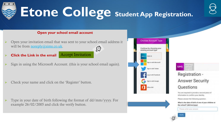

#### **Open your school email account**

- Ø Open your invitation email that was sent to your school email address it will be from <u>noreply@sims.co.uk</u>. 经
- Ø **Click the Link in the email** Accept Invitation
- Sign in using the Microsoft Account. (this is your school email again).
- Check your name and click on the 'Register' button.
- Type in your date of birth following the format of dd/mm/yyyy. For example 26/02/2005 and click the verify button.